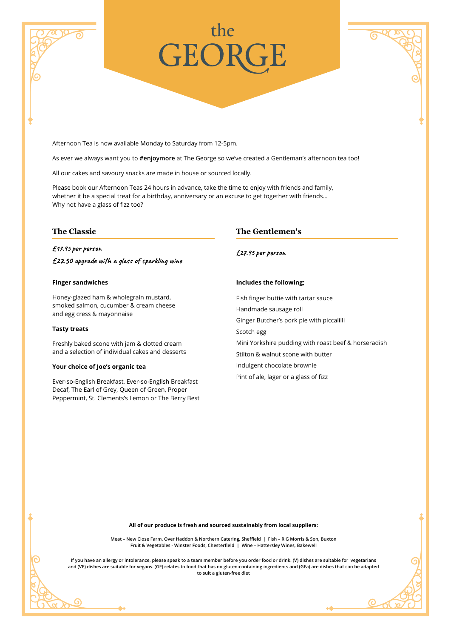# **GEOR**

Afternoon Tea is now available Monday to Saturday from 12-5pm.

As ever we always want you to **#enjoymore** at The George so we've created a Gentleman's afternoon tea too!

All our cakes and savoury snacks are made in house or sourced locally.

Please book our Afternoon Teas 24 hours in advance, take the time to enjoy with friends and family, whether it be a special treat for a birthday, anniversary or an excuse to get together with friends… Why not have a glass of fizz too?

# **The Classic**

£17.95 per person

£22.50 upgrade with a glass of sparkling wine

### **Finger sandwiches**

Honey-glazed ham & wholegrain mustard, smoked salmon, cucumber & cream cheese and egg cress & mayonnaise

# **Tasty treats**

G

Freshly baked scone with jam & clotted cream and a selection of individual cakes and desserts

### **Your choice of Joe's organic tea**

Ever-so-English Breakfast, Ever-so-English Breakfast Decaf, The Earl of Grey, Queen of Green, Proper Peppermint, St. Clements's Lemon or The Berry Best

# **The Gentlemen's**

£27.95 per person

### **Includes the following;**

Fish finger buttie with tartar sauce Handmade sausage roll Ginger Butcher's pork pie with piccalilli Scotch egg Mini Yorkshire pudding with roast beef & horseradish Stilton & walnut scone with butter Indulgent chocolate brownie Pint of ale, lager or a glass of fizz

ര

**All of our produce is fresh and sourced sustainably from local suppliers:**

**Meat – New Close Farm, Over Haddon & Northern Catering, Sheffield | Fish – R G Morris & Son, Buxton Fruit & Vegetables - Winster Foods, Chesterfield | Wine – Hattersley Wines, Bakewell**

**If you have an allergy or intolerance, please speak to a team member before you order food or drink. (V) dishes are suitable for vegetarians and (VE) dishes are suitable for vegans. (GF) relates to food that has no gluten-containing ingredients and (GFa) are dishes that can be adapted to suit a gluten-free diet**